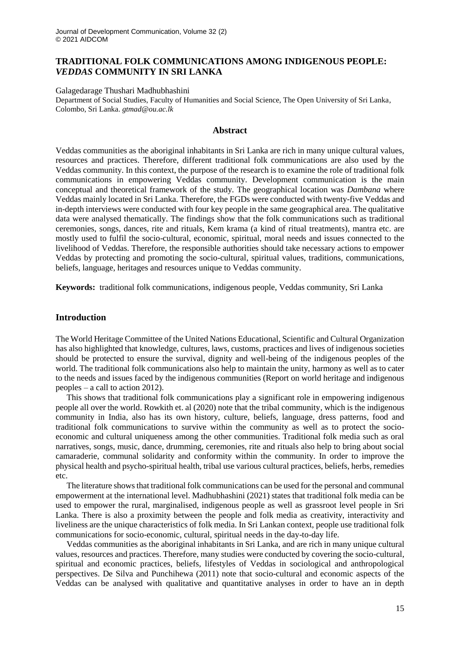# **TRADITIONAL FOLK COMMUNICATIONS AMONG INDIGENOUS PEOPLE:**  *VEDDAS* **COMMUNITY IN SRI LANKA**

Galagedarage Thushari Madhubhashini Department of Social Studies, Faculty of Humanities and Social Science, The Open University of Sri Lanka, Colombo, Sri Lanka. *gtmad@ou.ac.lk*

## **Abstract**

Veddas communities as the aboriginal inhabitants in Sri Lanka are rich in many unique cultural values, resources and practices. Therefore, different traditional folk communications are also used by the Veddas community. In this context, the purpose of the research is to examine the role of traditional folk communications in empowering Veddas community. Development communication is the main conceptual and theoretical framework of the study. The geographical location was *Dambana* where Veddas mainly located in Sri Lanka. Therefore, the FGDs were conducted with twenty-five Veddas and in-depth interviews were conducted with four key people in the same geographical area. The qualitative data were analysed thematically. The findings show that the folk communications such as traditional ceremonies, songs, dances, rite and rituals, Kem krama (a kind of ritual treatments), mantra etc. are mostly used to fulfil the socio-cultural, economic, spiritual, moral needs and issues connected to the livelihood of Veddas. Therefore, the responsible authorities should take necessary actions to empower Veddas by protecting and promoting the socio-cultural, spiritual values, traditions, communications, beliefs, language, heritages and resources unique to Veddas community.

**Keywords:** traditional folk communications, indigenous people, Veddas community, Sri Lanka

## **Introduction**

The World Heritage Committee of the United Nations Educational, Scientific and Cultural Organization has also highlighted that knowledge, cultures, laws, customs, practices and lives of indigenous societies should be protected to ensure the survival, dignity and well-being of the indigenous peoples of the world. The traditional folk communications also help to maintain the unity, harmony as well as to cater to the needs and issues faced by the indigenous communities (Report on world heritage and indigenous peoples – a call to action 2012).

This shows that traditional folk communications play a significant role in empowering indigenous people all over the world. Rowkith et. al (2020) note that the tribal community, which is the indigenous community in India, also has its own history, culture, beliefs, language, dress patterns, food and traditional folk communications to survive within the community as well as to protect the socioeconomic and cultural uniqueness among the other communities. Traditional folk media such as oral narratives, songs, music, dance, drumming, ceremonies, rite and rituals also help to bring about social camaraderie, communal solidarity and conformity within the community. In order to improve the physical health and psycho-spiritual health, tribal use various cultural practices, beliefs, herbs, remedies etc.

The literature shows that traditional folk communications can be used for the personal and communal empowerment at the international level. Madhubhashini (2021) states that traditional folk media can be used to empower the rural, marginalised, indigenous people as well as grassroot level people in Sri Lanka. There is also a proximity between the people and folk media as creativity, interactivity and liveliness are the unique characteristics of folk media. In Sri Lankan context, people use traditional folk communications for socio-economic, cultural, spiritual needs in the day-to-day life.

Veddas communities as the aboriginal inhabitants in Sri Lanka, and are rich in many unique cultural values, resources and practices. Therefore, many studies were conducted by covering the socio-cultural, spiritual and economic practices, beliefs, lifestyles of Veddas in sociological and anthropological perspectives. De Silva and Punchihewa (2011) note that socio-cultural and economic aspects of the Veddas can be analysed with qualitative and quantitative analyses in order to have an in depth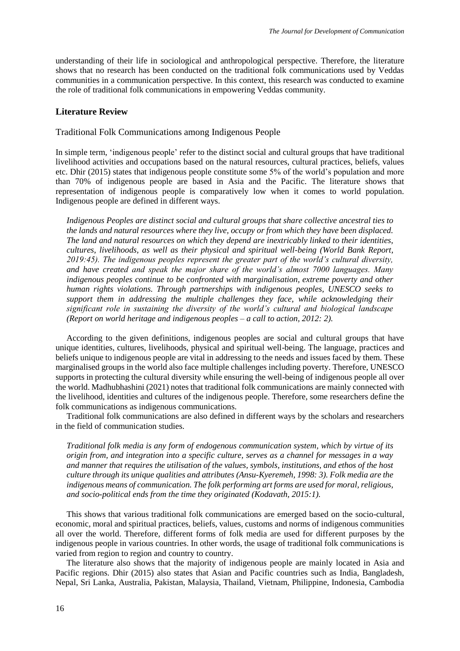understanding of their life in sociological and anthropological perspective. Therefore, the literature shows that no research has been conducted on the traditional folk communications used by Veddas communities in a communication perspective. In this context, this research was conducted to examine the role of traditional folk communications in empowering Veddas community.

### **Literature Review**

Traditional Folk Communications among Indigenous People

In simple term, 'indigenous people' refer to the distinct social and cultural groups that have traditional livelihood activities and occupations based on the natural resources, cultural practices, beliefs, values etc. Dhir (2015) states that indigenous people constitute some 5% of the world's population and more than 70% of indigenous people are based in Asia and the Pacific. The literature shows that representation of indigenous people is comparatively low when it comes to world population. Indigenous people are defined in different ways.

*Indigenous Peoples are distinct social and cultural groups that share collective ancestral ties to the lands and natural resources where they live, occupy or from which they have been displaced. The land and natural resources on which they depend are inextricably linked to their identities, cultures, livelihoods, as well as their physical and spiritual well-being (World Bank Report, 2019:45). The indigenous peoples represent the greater part of the world's cultural diversity, and have created and speak the major share of the world's almost 7000 languages. Many indigenous peoples continue to be confronted with marginalisation, extreme poverty and other human rights violations. Through partnerships with indigenous peoples, UNESCO seeks to support them in addressing the multiple challenges they face, while acknowledging their significant role in sustaining the diversity of the world's cultural and biological landscape (Report on world heritage and indigenous peoples – a call to action, 2012: 2).* 

According to the given definitions, indigenous peoples are social and cultural groups that have unique identities, cultures, livelihoods, physical and spiritual well-being. The language, practices and beliefs unique to indigenous people are vital in addressing to the needs and issues faced by them. These marginalised groups in the world also face multiple challenges including poverty. Therefore, UNESCO supports in protecting the cultural diversity while ensuring the well-being of indigenous people all over the world. Madhubhashini (2021) notes that traditional folk communications are mainly connected with the livelihood, identities and cultures of the indigenous people. Therefore, some researchers define the folk communications as indigenous communications.

Traditional folk communications are also defined in different ways by the scholars and researchers in the field of communication studies.

*Traditional folk media is any form of endogenous communication system, which by virtue of its origin from, and integration into a specific culture, serves as a channel for messages in a way and manner that requires the utilisation of the values, symbols, institutions, and ethos of the host culture through its unique qualities and attributes (Ansu-Kyeremeh, 1998: 3). Folk media are the indigenous means of communication. The folk performing art forms are used for moral, religious, and socio-political ends from the time they originated (Kodavath, 2015:1).* 

This shows that various traditional folk communications are emerged based on the socio-cultural, economic, moral and spiritual practices, beliefs, values, customs and norms of indigenous communities all over the world. Therefore, different forms of folk media are used for different purposes by the indigenous people in various countries. In other words, the usage of traditional folk communications is varied from region to region and country to country.

The literature also shows that the majority of indigenous people are mainly located in Asia and Pacific regions. Dhir (2015) also states that Asian and Pacific countries such as India, Bangladesh, Nepal, Sri Lanka, Australia, Pakistan, Malaysia, Thailand, Vietnam, Philippine, Indonesia, Cambodia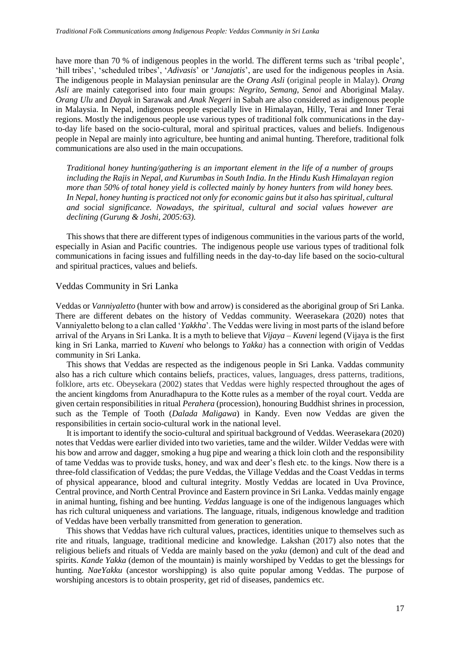have more than 70 % of indigenous peoples in the world. The different terms such as 'tribal people', 'hill tribes', 'scheduled tribes', '*Adivasis*' or '*Janajatis*', are used for the indigenous peoples in Asia. The indigenous people in Malaysian peninsular are the *Orang Asli* (original people in Malay). *Orang Asli* are mainly categorised into four main groups: *Negrito, Semang, Senoi* and Aboriginal Malay. *Orang Ulu* and *Dayak* in Sarawak and *Anak Negeri* in Sabah are also considered as indigenous people in Malaysia. In Nepal, indigenous people especially live in Himalayan, Hilly, Terai and Inner Terai regions. Mostly the indigenous people use various types of traditional folk communications in the dayto-day life based on the socio-cultural, moral and spiritual practices, values and beliefs. Indigenous people in Nepal are mainly into agriculture, bee hunting and animal hunting. Therefore, traditional folk communications are also used in the main occupations.

*Traditional honey hunting/gathering is an important element in the life of a number of groups including the Rajis in Nepal, and Kurumbas in South India. In the Hindu Kush Himalayan region more than 50% of total honey yield is collected mainly by honey hunters from wild honey bees. In Nepal, honey hunting is practiced not only for economic gains but it also has spiritual, cultural and social significance. Nowadays, the spiritual, cultural and social values however are declining (Gurung & Joshi, 2005:63).*

This shows that there are different types of indigenous communities in the various parts of the world, especially in Asian and Pacific countries. The indigenous people use various types of traditional folk communications in facing issues and fulfilling needs in the day-to-day life based on the socio-cultural and spiritual practices, values and beliefs.

### Veddas Community in Sri Lanka

Veddas or *Vanniyaletto* (hunter with bow and arrow) is considered as the aboriginal group of Sri Lanka. There are different debates on the history of Veddas community. Weerasekara (2020) notes that Vanniyaletto belong to a clan called '*Yakkha*'. The Veddas were living in most parts of the island before arrival of the Aryans in Sri Lanka. It is a myth to believe that *Vijaya – Kuveni* legend (Vijaya is the first king in Sri Lanka, married to *Kuveni* who belongs to *Yakka)* has a connection with origin of Veddas community in Sri Lanka.

This shows that Veddas are respected as the indigenous people in Sri Lanka. Vaddas community also has a rich culture which contains beliefs, practices, values, languages, dress patterns, traditions, folklore, arts etc. Obeysekara (2002) states that Veddas were highly respected throughout the ages of the ancient kingdoms from Anuradhapura to the Kotte rules as a member of the royal court. Vedda are given certain responsibilities in ritual *Perahera* (procession), honouring Buddhist shrines in procession, such as the Temple of Tooth (*Dalada Maligawa*) in Kandy. Even now Veddas are given the responsibilities in certain socio-cultural work in the national level.

It is important to identify the socio-cultural and spiritual background of Veddas. Weerasekara (2020) notes that Veddas were earlier divided into two varieties, tame and the wilder. Wilder Veddas were with his bow and arrow and dagger, smoking a hug pipe and wearing a thick loin cloth and the responsibility of tame Veddas was to provide tusks, honey, and wax and deer's flesh etc. to the kings. Now there is a three-fold classification of Veddas; the pure Veddas, the Village Veddas and the Coast Veddas in terms of physical appearance, blood and cultural integrity. Mostly Veddas are located in Uva Province, Central province, and North Central Province and Eastern province in Sri Lanka. Veddas mainly engage in animal hunting, fishing and bee hunting. *Veddas* language is one of the indigenous languages which has rich cultural uniqueness and variations. The language, rituals, indigenous knowledge and tradition of Veddas have been verbally transmitted from generation to generation.

This shows that Veddas have rich cultural values, practices, identities unique to themselves such as rite and rituals, language, traditional medicine and knowledge. Lakshan (2017) also notes that the religious beliefs and rituals of Vedda are mainly based on the *yaku* (demon) and cult of the dead and spirits. *Kande Yakka* (demon of the mountain) is mainly worshiped by Veddas to get the blessings for hunting. *NaeYakku* (ancestor worshipping) is also quite popular among Veddas. The purpose of worshiping ancestors is to obtain prosperity, get rid of diseases, pandemics etc.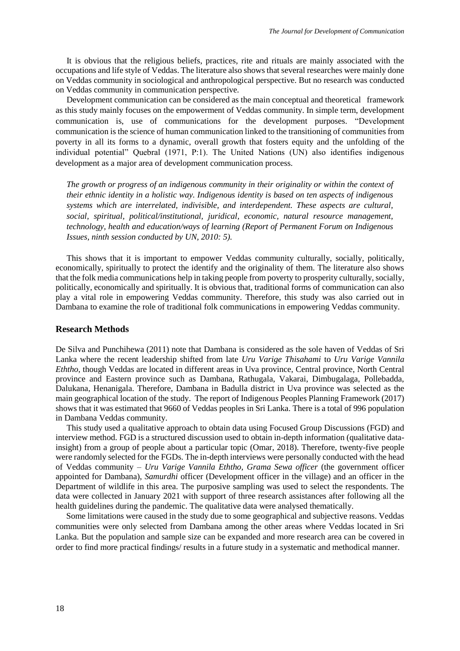It is obvious that the religious beliefs, practices, rite and rituals are mainly associated with the occupations and life style of Veddas. The literature also shows that several researches were mainly done on Veddas community in sociological and anthropological perspective. But no research was conducted on Veddas community in communication perspective.

Development communication can be considered as the main conceptual and theoretical framework as this study mainly focuses on the empowerment of Veddas community. In simple term, development communication is, use of communications for the development purposes. "Development communication is the science of human communication linked to the transitioning of communities from poverty in all its forms to a dynamic, overall growth that fosters equity and the unfolding of the individual potential" Quebral (1971, P:1). The United Nations (UN) also identifies indigenous development as a major area of development communication process.

*The growth or progress of an indigenous community in their originality or within the context of their ethnic identity in a holistic way. Indigenous identity is based on ten aspects of indigenous systems which are interrelated, indivisible, and interdependent. These aspects are cultural, social, spiritual, political/institutional, juridical, economic, natural resource management, technology, health and education/ways of learning (Report of Permanent Forum on Indigenous Issues, ninth session conducted by UN, 2010: 5).*

This shows that it is important to empower Veddas community culturally, socially, politically, economically, spiritually to protect the identify and the originality of them. The literature also shows that the folk media communications help in taking people from poverty to prosperity culturally, socially, politically, economically and spiritually. It is obvious that, traditional forms of communication can also play a vital role in empowering Veddas community. Therefore, this study was also carried out in Dambana to examine the role of traditional folk communications in empowering Veddas community.

## **Research Methods**

De Silva and Punchihewa (2011) note that Dambana is considered as the sole haven of Veddas of Sri Lanka where the recent leadership shifted from late *Uru Varige Thisahami* to *Uru Varige Vannila Eththo*, though Veddas are located in different areas in Uva province, Central province, North Central province and Eastern province such as Dambana, Rathugala, Vakarai, Dimbugalaga, Pollebadda, Dalukana, Henanigala. Therefore, Dambana in Badulla district in Uva province was selected as the main geographical location of the study. The report of Indigenou*s* Peoples Planning Framework (2017) shows that it was estimated that 9660 of Veddas peoples in Sri Lanka. There is a total of 996 population in Dambana Veddas community.

This study used a qualitative approach to obtain data using Focused Group Discussions (FGD) and interview method. FGD is a structured discussion used to obtain in-depth information (qualitative datainsight) from a group of people about a particular topic (Omar, 2018). Therefore, twenty-five people were randomly selected for the FGDs. The in-depth interviews were personally conducted with the head of Veddas community – *Uru Varige Vannila Eththo*, *Grama Sewa officer* (the government officer appointed for Dambana), *Samurdhi* officer (Development officer in the village) and an officer in the Department of wildlife in this area. The purposive sampling was used to select the respondents. The data were collected in January 2021 with support of three research assistances after following all the health guidelines during the pandemic. The qualitative data were analysed thematically.

 Some limitations were caused in the study due to some geographical and subjective reasons. Veddas communities were only selected from Dambana among the other areas where Veddas located in Sri Lanka. But the population and sample size can be expanded and more research area can be covered in order to find more practical findings/ results in a future study in a systematic and methodical manner.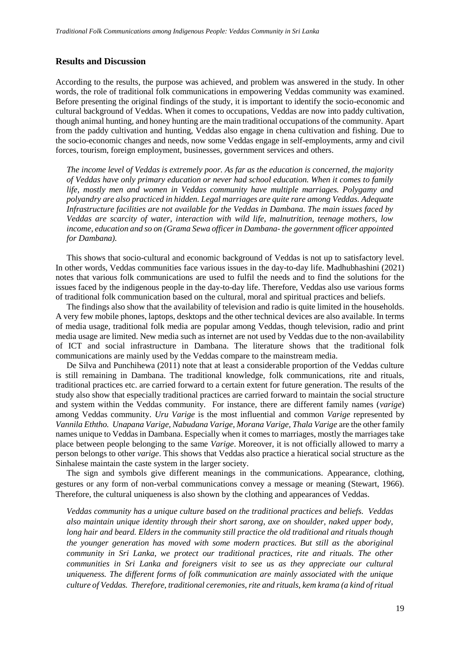## **Results and Discussion**

According to the results, the purpose was achieved, and problem was answered in the study. In other words, the role of traditional folk communications in empowering Veddas community was examined. Before presenting the original findings of the study, it is important to identify the socio-economic and cultural background of Veddas. When it comes to occupations, Veddas are now into paddy cultivation, though animal hunting, and honey hunting are the main traditional occupations of the community. Apart from the paddy cultivation and hunting, Veddas also engage in chena cultivation and fishing. Due to the socio-economic changes and needs, now some Veddas engage in self-employments, army and civil forces, tourism, foreign employment, businesses, government services and others.

*The income level of Veddas is extremely poor. As far as the education is concerned, the majority of Veddas have only primary education or never had school education. When it comes to family life, mostly men and women in Veddas community have multiple marriages. Polygamy and polyandry are also practiced in hidden. Legal marriages are quite rare among Veddas. Adequate Infrastructure facilities are not available for the Veddas in Dambana. The main issues faced by Veddas are scarcity of water, interaction with wild life, malnutrition, teenage mothers, low income, education and so on (Grama Sewa officer in Dambana- the government officer appointed for Dambana).* 

This shows that socio-cultural and economic background of Veddas is not up to satisfactory level. In other words, Veddas communities face various issues in the day-to-day life. Madhubhashini (2021) notes that various folk communications are used to fulfil the needs and to find the solutions for the issues faced by the indigenous people in the day-to-day life. Therefore, Veddas also use various forms of traditional folk communication based on the cultural, moral and spiritual practices and beliefs.

The findings also show that the availability of television and radio is quite limited in the households. A very few mobile phones, laptops, desktops and the other technical devices are also available. In terms of media usage, traditional folk media are popular among Veddas, though television, radio and print media usage are limited. New media such as internet are not used by Veddas due to the non-availability of ICT and social infrastructure in Dambana. The literature shows that the traditional folk communications are mainly used by the Veddas compare to the mainstream media.

De Silva and Punchihewa (2011) note that at least a considerable proportion of the Veddas culture is still remaining in Dambana. The traditional knowledge, folk communications, rite and rituals, traditional practices etc. are carried forward to a certain extent for future generation. The results of the study also show that especially traditional practices are carried forward to maintain the social structure and system within the Veddas community. For instance, there are different family names (*varige*) among Veddas community. *Uru Varige* is the most influential and common *Varige* represented by *Vannila Eththo. Unapana Varige, Nabudana Varige, Morana Varige, Thala Varige* are the other family names unique to Veddas in Dambana. Especially when it comes to marriages, mostly the marriages take place between people belonging to the same *Varige*. Moreover, it is not officially allowed to marry a person belongs to other *varige*. This shows that Veddas also practice a hieratical social structure as the Sinhalese maintain the caste system in the larger society.

The sign and symbols give different meanings in the communications. Appearance, clothing, gestures or any form of non-verbal communications convey a message or meaning (Stewart, 1966). Therefore, the cultural uniqueness is also shown by the clothing and appearances of Veddas.

*Veddas community has a unique culture based on the traditional practices and beliefs. Veddas also maintain unique identity through their short sarong, axe on shoulder, naked upper body, long hair and beard. Elders in the community still practice the old traditional and rituals though the younger generation has moved with some modern practices. But still as the aboriginal community in Sri Lanka, we protect our traditional practices, rite and rituals. The other communities in Sri Lanka and foreigners visit to see us as they appreciate our cultural uniqueness. The different forms of folk communication are mainly associated with the unique culture of Veddas. Therefore, traditional ceremonies, rite and rituals, kem krama (a kind of ritual*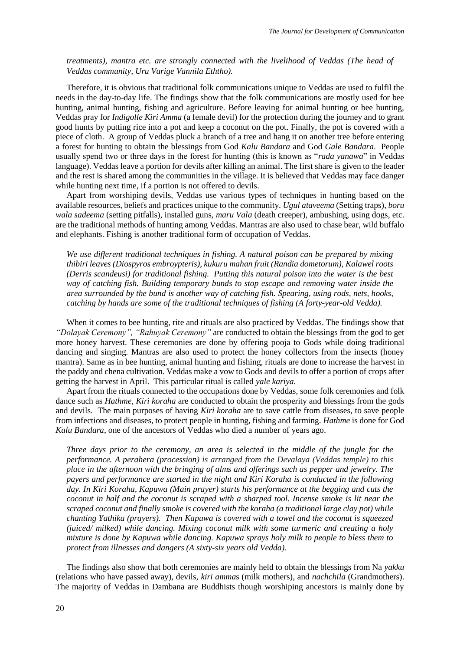*treatments), mantra etc. are strongly connected with the livelihood of Veddas (The head of Veddas community, Uru Varige Vannila Eththo).* 

Therefore, it is obvious that traditional folk communications unique to Veddas are used to fulfil the needs in the day-to-day life. The findings show that the folk communications are mostly used for bee hunting, animal hunting, fishing and agriculture. Before leaving for animal hunting or bee hunting, Veddas pray for *Indigolle Kiri Amma* (a female devil) for the protection during the journey and to grant good hunts by putting rice into a pot and keep a coconut on the pot. Finally, the pot is covered with a piece of cloth. A group of Veddas pluck a branch of a tree and hang it on another tree before entering a forest for hunting to obtain the blessings from God *Kalu Bandara* and God *Gale Bandara*. People usually spend two or three days in the forest for hunting (this is known as "*rada yanawa*" in Veddas language). Veddas leave a portion for devils after killing an animal. The first share is given to the leader and the rest is shared among the communities in the village. It is believed that Veddas may face danger while hunting next time, if a portion is not offered to devils.

Apart from worshiping devils, Veddas use various types of techniques in hunting based on the available resources, beliefs and practices unique to the community. *Ugul ataveema* (Setting traps), *boru wala sadeema* (setting pitfalls), installed guns, *maru Vala* (death creeper), ambushing, using dogs, etc. are the traditional methods of hunting among Veddas. Mantras are also used to chase bear, wild buffalo and elephants. Fishing is another traditional form of occupation of Veddas.

*We use different traditional techniques in fishing. A natural poison can be prepared by mixing thibiri leaves (Diospyros embroypteris), kukuru mahan fruit (Randia dometorum), Kalawel roots (Derris scandeusi) for traditional fishing. Putting this natural poison into the water is the best way of catching fish. Building temporary bunds to stop escape and removing water inside the area surrounded by the bund is another way of catching fish. Spearing, using rods, nets, hooks, catching by hands are some of the traditional techniques of fishing (A forty-year-old Vedda).*

When it comes to bee hunting, rite and rituals are also practiced by Veddas. The findings show that *"Dolayak Ceremony", "Rahuyak Ceremony"* are conducted to obtain the blessings from the god to get more honey harvest. These ceremonies are done by offering pooja to Gods while doing traditional dancing and singing. Mantras are also used to protect the honey collectors from the insects (honey mantra). Same as in bee hunting, animal hunting and fishing, rituals are done to increase the harvest in the paddy and chena cultivation. Veddas make a vow to Gods and devils to offer a portion of crops after getting the harvest in April. This particular ritual is called *yale kariya.*

Apart from the rituals connected to the occupations done by Veddas, some folk ceremonies and folk dance such as *Hathme, Kiri koraha* are conducted to obtain the prosperity and blessings from the gods and devils. The main purposes of having *Kiri koraha* are to save cattle from diseases, to save people from infections and diseases, to protect people in hunting, fishing and farming. *Hathme* is done for God *Kalu Bandara*, one of the ancestors of Veddas who died a number of years ago.

*Three days prior to the ceremony, an area is selected in the middle of the jungle for the performance. A perahera (procession) is arranged from the Devalaya (Veddas temple) to this place in the afternoon with the bringing of alms and offerings such as pepper and jewelry. The payers and performance are started in the night and Kiri Koraha is conducted in the following day. In Kiri Koraha, Kapuwa (Main prayer) starts his performance at the begging and cuts the coconut in half and the coconut is scraped with a sharped tool. Incense smoke is lit near the scraped coconut and finally smoke is covered with the koraha (a traditional large clay pot) while chanting Yathika (prayers). Then Kapuwa is covered with a towel and the coconut is squeezed (juiced/ milked) while dancing. Mixing coconut milk with some turmeric and creating a holy mixture is done by Kapuwa while dancing. Kapuwa sprays holy milk to people to bless them to protect from illnesses and dangers (A sixty-six years old Vedda).* 

The findings also show that both ceremonies are mainly held to obtain the blessings from Na *yakku* (relations who have passed away), devils, *kiri amma*s (milk mothers), and *nachchila* (Grandmothers). The majority of Veddas in Dambana are Buddhists though worshiping ancestors is mainly done by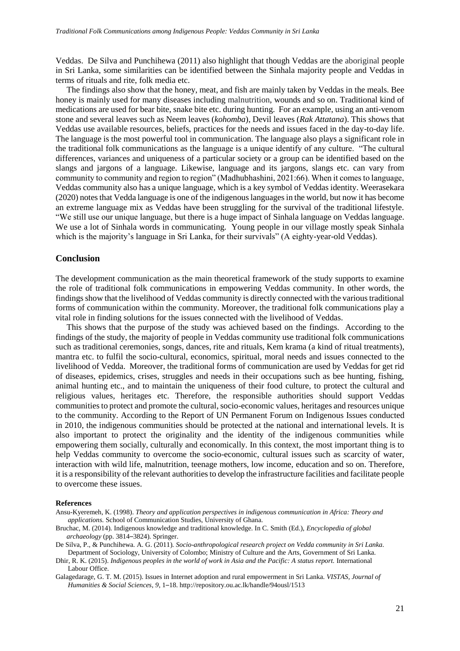Veddas. De Silva and Punchihewa (2011) also highlight that though Veddas are the aboriginal people in Sri Lanka, some similarities can be identified between the Sinhala majority people and Veddas in terms of rituals and rite, folk media etc.

The findings also show that the honey, meat, and fish are mainly taken by Veddas in the meals. Bee honey is mainly used for many diseases including malnutrition, wounds and so on. Traditional kind of medications are used for bear bite, snake bite etc. during hunting. For an example, using an anti-venom stone and several leaves such as Neem leaves (*kohomba*), Devil leaves (*Rak Attatana*). This shows that Veddas use available resources, beliefs, practices for the needs and issues faced in the day-to-day life. The language is the most powerful tool in communication. The language also plays a significant role in the traditional folk communications as the language is a unique identify of any culture. "The cultural differences, variances and uniqueness of a particular society or a group can be identified based on the slangs and jargons of a language. Likewise, language and its jargons, slangs etc. can vary from community to community and region to region" (Madhubhashini, 2021:66). When it comes to language, Veddas community also has a unique language, which is a key symbol of Veddas identity. Weerasekara (2020) notes that Vedda language is one of the indigenous languages in the world, but now it has become an extreme language mix as Veddas have been struggling for the survival of the traditional lifestyle. "We still use our unique language, but there is a huge impact of Sinhala language on Veddas language. We use a lot of Sinhala words in communicating. Young people in our village mostly speak Sinhala which is the majority's language in Sri Lanka, for their survivals" (A eighty-year-old Veddas).

## **Conclusion**

The development communication as the main theoretical framework of the study supports to examine the role of traditional folk communications in empowering Veddas community. In other words, the findings show that the livelihood of Veddas community is directly connected with the various traditional forms of communication within the community. Moreover, the traditional folk communications play a vital role in finding solutions for the issues connected with the livelihood of Veddas.

This shows that the purpose of the study was achieved based on the findings. According to the findings of the study, the majority of people in Veddas community use traditional folk communications such as traditional ceremonies, songs, dances, rite and rituals, Kem krama (a kind of ritual treatments), mantra etc. to fulfil the socio-cultural, economics, spiritual, moral needs and issues connected to the livelihood of Vedda. Moreover, the traditional forms of communication are used by Veddas for get rid of diseases, epidemics, crises, struggles and needs in their occupations such as bee hunting, fishing, animal hunting etc., and to maintain the uniqueness of their food culture, to protect the cultural and religious values, heritages etc. Therefore, the responsible authorities should support Veddas communities to protect and promote the cultural, socio-economic values, heritages and resources unique to the community. According to the Report of UN Permanent Forum on Indigenous Issues conducted in 2010, the indigenous communities should be protected at the national and international levels. It is also important to protect the originality and the identity of the indigenous communities while empowering them socially, culturally and economically. In this context, the most important thing is to help Veddas community to overcome the socio-economic, cultural issues such as scarcity of water, interaction with wild life, malnutrition, teenage mothers, low income, education and so on. Therefore, it is a responsibility of the relevant authorities to develop the infrastructure facilities and facilitate people to overcome these issues.

#### **References**

- Ansu-Kyeremeh, K. (1998). *Theory and application perspectives in indigenous communication in Africa: Theory and applications.* School of Communication Studies, University of Ghana.
- Bruchac, M. (2014). Indigenous knowledge and traditional knowledge. In C. Smith (Ed.), *Encyclopedia of global archaeology* (pp. 3814–3824). Springer.
- De Silva, P., & Punchihewa. A. G. (2011)*. Socio-anthropological research project on Vedda community in Sri Lanka.*  Department of Sociology, University of Colombo; Ministry of Culture and the Arts, Government of Sri Lanka.
- Dhir, R. K. (2015). *Indigenous peoples in the world of work in Asia and the Pacific: A status report*. International Labour Office.

Galagedarage, G. T. M. (2015). Issues in Internet adoption and rural empowerment in Sri Lanka. *VISTAS, Journal of Humanities & Social Sciences*, *9*, 1–18. http://repository.ou.ac.lk/handle/94ousl/1513